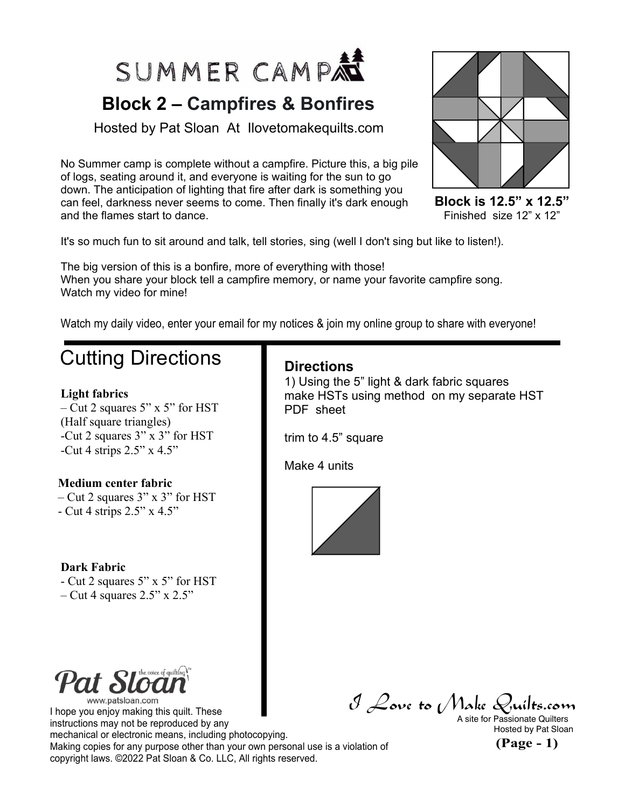

## **Block 2 – Campfires & Bonfires**

Hosted by Pat Sloan At Ilovetomakequilts.com

No Summer camp is complete without a campfire. Picture this, a big pile of logs, seating around it, and everyone is waiting for the sun to go down. The anticipation of lighting that fire after dark is something you can feel, darkness never seems to come. Then finally it's dark enough and the flames start to dance.



**Block is 12.5" x 12.5"** Finished size 12" x 12"

It's so much fun to sit around and talk, tell stories, sing (well I don't sing but like to listen!).

The big version of this is a bonfire, more of everything with those! When you share your block tell a campfire memory, or name your favorite campfire song. Watch my video for mine!

Watch my daily video, enter your email for my notices & join my online group to share with everyone!

## Cutting Directions

#### **Light fabrics**

– Cut 2 squares 5" x 5" for HST (Half square triangles) -Cut 2 squares 3" x 3" for HST -Cut 4 strips  $2.5$ " x  $4.5$ "

### **Medium center fabric**

– Cut 2 squares 3" x 3" for HST - Cut 4 strips 2.5" x 4.5"

### **Dark Fabric**

- Cut 2 squares 5" x 5" for HST  $-$  Cut 4 squares 2.5" x 2.5"

### **Directions**

1) Using the 5" light & dark fabric squares make HSTs using method on my separate HST PDF sheet

trim to 4.5" square

Make 4 units



www.patsloan.com

I hope you enjoy making this quilt. These instructions may not be reproduced by any mechanical or electronic means, including photocopying. Making copies for any purpose other than your own personal use is a violation of copyright laws. ©2022 Pat Sloan & Co. LLC, All rights reserved.

I Love to Make Quilts.com A site for Passionate Quilters

Hosted by Pat Sloan

**(Page - 1)**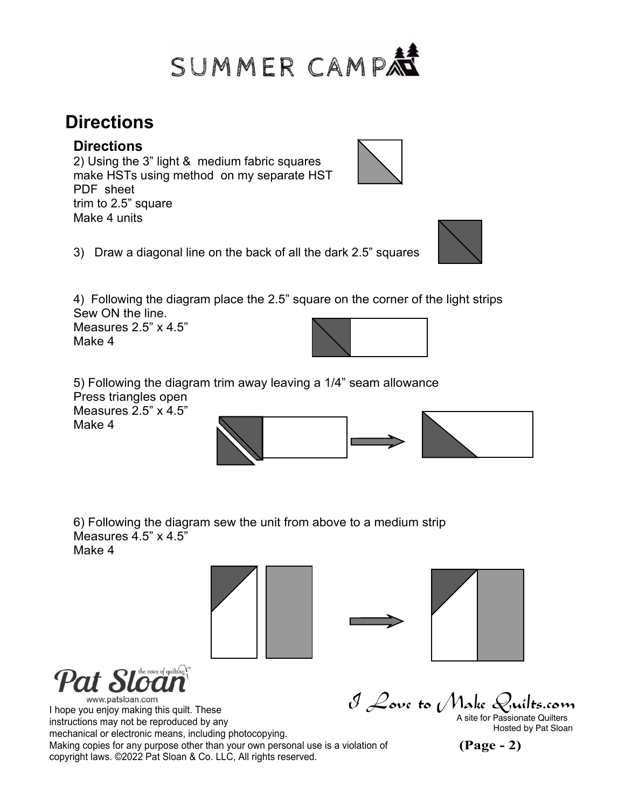

## **Directions**

### **Directions**

2) Using the 3" light & medium fabric squares make HSTs using method on my separate HST PDF sheet trim to 2.5" square Make 4 units



4) Following the diagram place the 2.5" square on the corner of the light strips Sew ON the line.

Measures 2.5" x 4.5" Make 4



5) Following the diagram trim away leaving a 1/4" seam allowance Press triangles open Measures 2.5" x 4.5" Make 4

6) Following the diagram sew the unit from above to a medium strip Measures  $4.5$ " x  $4.5$ "

Make 4





www.patsloan.com

 $\mathcal J$  Love to (Make Quilts.com<br>a site for Passionate Quilters I hope you enjoy making this quilt. These instructions may not be reproduced by any mechanical or electronic means, including photocopying. Making copies for any purpose other than your own personal use is a violation of copyright laws. ©2022 Pat Sloan & Co. LLC, All rights reserved.

**(Page - 2)** Hosted by Pat Sloan





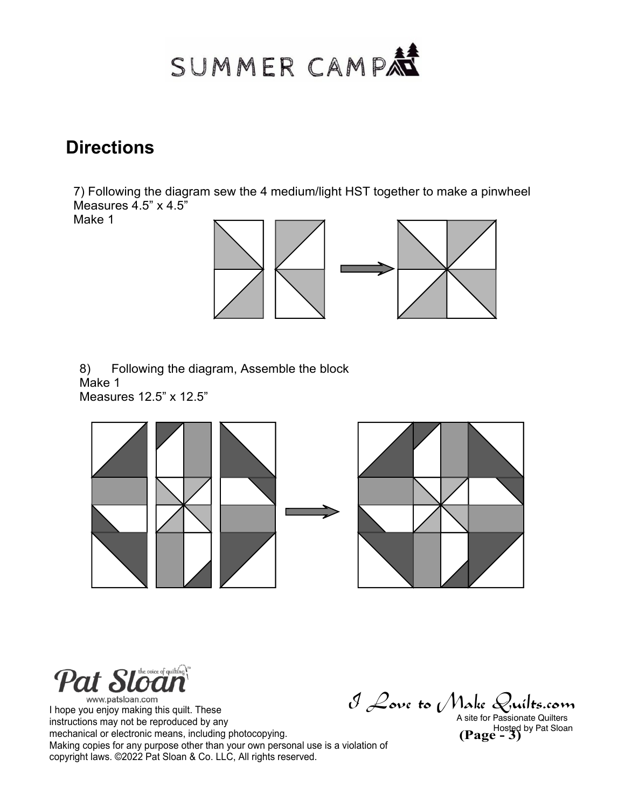# SUMMER CAMP

## **Directions**

7) Following the diagram sew the 4 medium/light HST together to make a pinwheel Measures  $4.5$ " x  $4.5$ "

Make 1



8) Following the diagram, Assemble the block Make 1 Measures 12.5" x 12.5"



Pat Sl

www.patsloan.com I hope you enjoy making this quilt. These instructions may not be reproduced by any mechanical or electronic means, including photocopying. Making copies for any purpose other than your own personal use is a violation of copyright laws. ©2022 Pat Sloan & Co. LLC, All rights reserved.

I Love to Make Quilts.com

Hosted by Pat Sloan<br> **(Page - 3)** A site for Passionate Quilters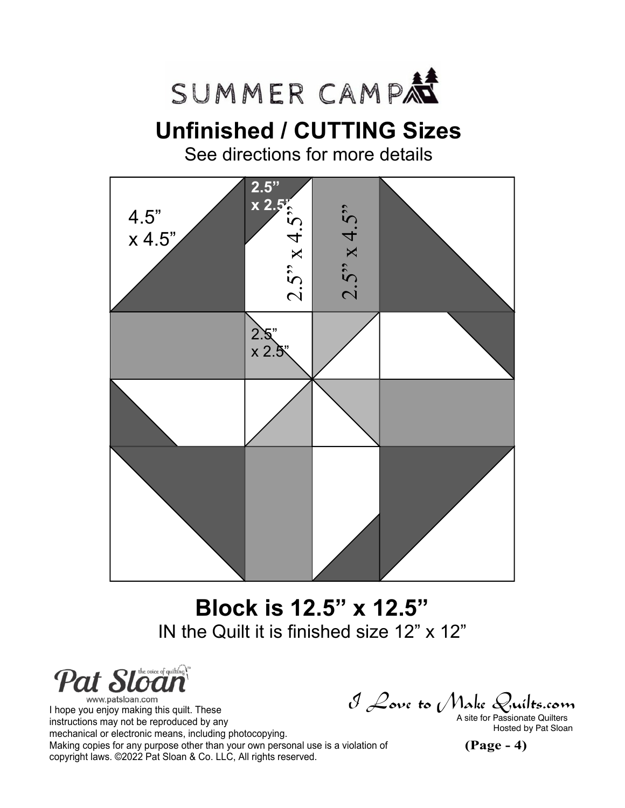

# **Unfinished / CUTTING Sizes**

See directions for more details



# **Block is 12.5" x 12.5"** IN the Quilt it is finished size 12" x 12"

**Pat Sloan** www.patsloan.com

I hope you enjoy making this quilt. These instructions may not be reproduced by any mechanical or electronic means, including photocopying. Making copies for any purpose other than your own personal use is a violation of copyright laws. ©2022 Pat Sloan & Co. LLC, All rights reserved.

 $\mathcal J$  Love to (Make Quilts.com<br>a site for Passionate Quilters

Hosted by Pat Sloan

**(Page - 4)**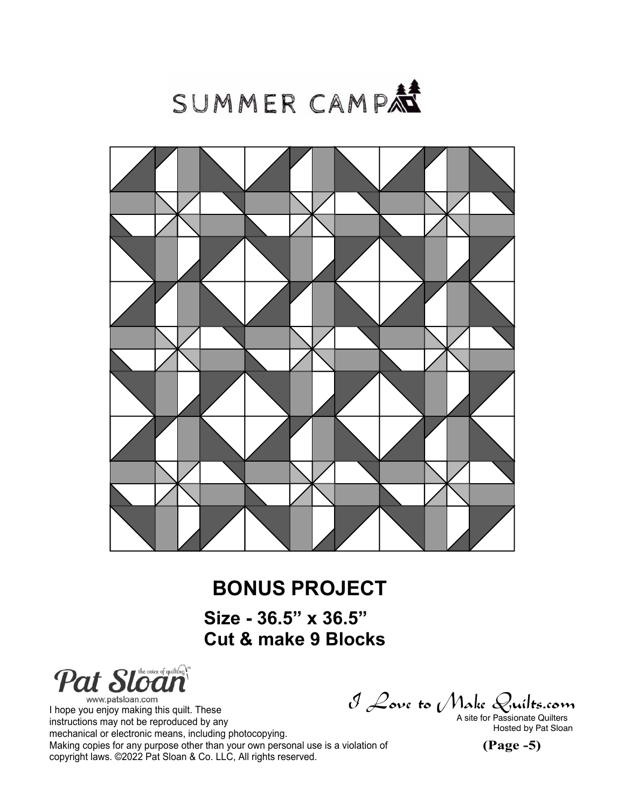



## **BONUS PROJECT**

**Size - 36.5" x 36.5" Cut & make 9 Blocks**

Pat Sloan

www.patsloan.com I hope you enjoy making this quilt. These instructions may not be reproduced by any mechanical or electronic means, including photocopying. Making copies for any purpose other than your own personal use is a violation of copyright laws. ©2022 Pat Sloan & Co. LLC, All rights reserved.

 $\mathcal J$  Love to (Make Quilts.com<br>a site for Passionate Quilters

Hosted by Pat Sloan

**(Page -5)**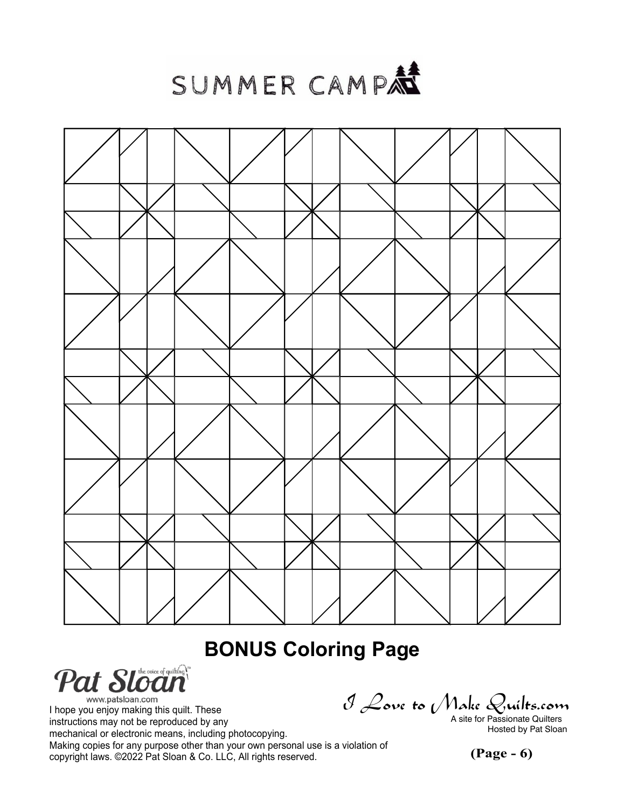SUMMER CAMP



## **BONUS Coloring Page**



www.patsloan.com I hope you enjoy making this quilt. These instructions may not be reproduced by any mechanical or electronic means, including photocopying. Making copies for any purpose other than your own personal use is a violation of copyright laws. ©2022 Pat Sloan & Co. LLC, All rights reserved.

 $\mathcal J$  Love to (Make Quilts.com<br>a site for Passionate Quilters

Hosted by Pat Sloan

**(Page - 6)**